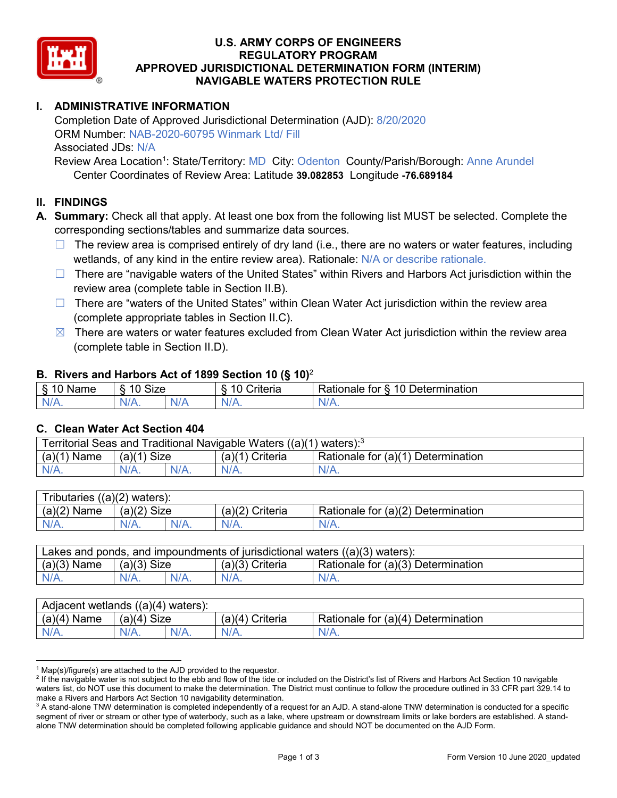

## **U.S. ARMY CORPS OF ENGINEERS REGULATORY PROGRAM APPROVED JURISDICTIONAL DETERMINATION FORM (INTERIM) NAVIGABLE WATERS PROTECTION RULE**

## **I. ADMINISTRATIVE INFORMATION**

Completion Date of Approved Jurisdictional Determination (AJD): 8/20/2020 ORM Number: NAB-2020-60795 Winmark Ltd/ Fill Associated JDs: N/A

Review Area Location<sup>1</sup>: State/Territory: MD City: Odenton County/Parish/Borough: Anne Arundel Center Coordinates of Review Area: Latitude **39.082853** Longitude **-76.689184**

#### **II. FINDINGS**

- **A. Summary:** Check all that apply. At least one box from the following list MUST be selected. Complete the corresponding sections/tables and summarize data sources.
	- $\Box$  The review area is comprised entirely of dry land (i.e., there are no waters or water features, including wetlands, of any kind in the entire review area). Rationale: N/A or describe rationale.
	- $\Box$  There are "navigable waters of the United States" within Rivers and Harbors Act jurisdiction within the review area (complete table in Section II.B).
	- $\Box$  There are "waters of the United States" within Clean Water Act jurisdiction within the review area (complete appropriate tables in Section II.C).
	- $\boxtimes$  There are waters or water features excluded from Clean Water Act jurisdiction within the review area (complete table in Section II.D).

#### **B. Rivers and Harbors Act of 1899 Section 10 (§ 10)**<sup>2</sup>

| $\cdot$                          |                   |                       |                                     |                                                                           |  |
|----------------------------------|-------------------|-----------------------|-------------------------------------|---------------------------------------------------------------------------|--|
| $\sim$<br>$-1$ on the $-$<br>ане | <b>Size</b><br>10 |                       | $\mathbf{r}$<br>10<br>-<br>;riteria | $\overline{\phantom{0}}$<br>$\Delta$<br>Jetermination<br>tor<br>≺ationaie |  |
| $N/A$ .                          | 'N/A.             | $\blacksquare$<br>N/r | $N$ /                               | 'N/A.                                                                     |  |

#### **C. Clean Water Act Section 404**

| Territorial Seas and Traditional Navigable Waters ((a)(1)<br>waters): <sup>3</sup> |                |  |                   |                                    |
|------------------------------------------------------------------------------------|----------------|--|-------------------|------------------------------------|
| (a)(1)<br>Name                                                                     | Size<br>(a)(1) |  | (a)(1<br>Criteria | Rationale for (a)(1) Determination |
| $N/A$ .                                                                            | $N/A$ .        |  | $N/A$ .           | $N/A$ .                            |

| Tributaries<br>$((a)(2)$ waters): |                |         |                    |                                    |  |
|-----------------------------------|----------------|---------|--------------------|------------------------------------|--|
| (a)(2)<br>Name                    | (a)(2)<br>Size |         | (a)(2)<br>Criteria | Rationale for (a)(2) Determination |  |
| $N/A$ .                           | $N/A$ .        | $N/A$ . | $N/A$ .            | N/A.                               |  |

| Lakes and ponds, and impoundments of jurisdictional waters $((a)(3)$ waters): |               |  |                   |                                    |
|-------------------------------------------------------------------------------|---------------|--|-------------------|------------------------------------|
| $(a)(3)$ Name                                                                 | $(a)(3)$ Size |  | $(a)(3)$ Criteria | Rationale for (a)(3) Determination |
| $N/A$ .                                                                       | $N/A$ .       |  | $N/A$ .           | $N/A$ .                            |

| Adjacent wetlands<br>((a)(4)<br>waters): |                       |         |                   |                                    |  |
|------------------------------------------|-----------------------|---------|-------------------|------------------------------------|--|
| (a)(4)<br>Name                           | <b>Size</b><br>(a)(4) |         | Criteria<br>(a)(4 | Rationale for (a)(4) Determination |  |
| N/A.                                     | $N/A$ .               | $N/A$ . | $N/A$ .           | $N/A$ .                            |  |

 $1$  Map(s)/figure(s) are attached to the AJD provided to the requestor.

<sup>&</sup>lt;sup>2</sup> If the navigable water is not subject to the ebb and flow of the tide or included on the District's list of Rivers and Harbors Act Section 10 navigable waters list, do NOT use this document to make the determination. The District must continue to follow the procedure outlined in 33 CFR part 329.14 to make a Rivers and Harbors Act Section 10 navigability determination.

 $3$  A stand-alone TNW determination is completed independently of a request for an AJD. A stand-alone TNW determination is conducted for a specific segment of river or stream or other type of waterbody, such as a lake, where upstream or downstream limits or lake borders are established. A standalone TNW determination should be completed following applicable guidance and should NOT be documented on the AJD Form.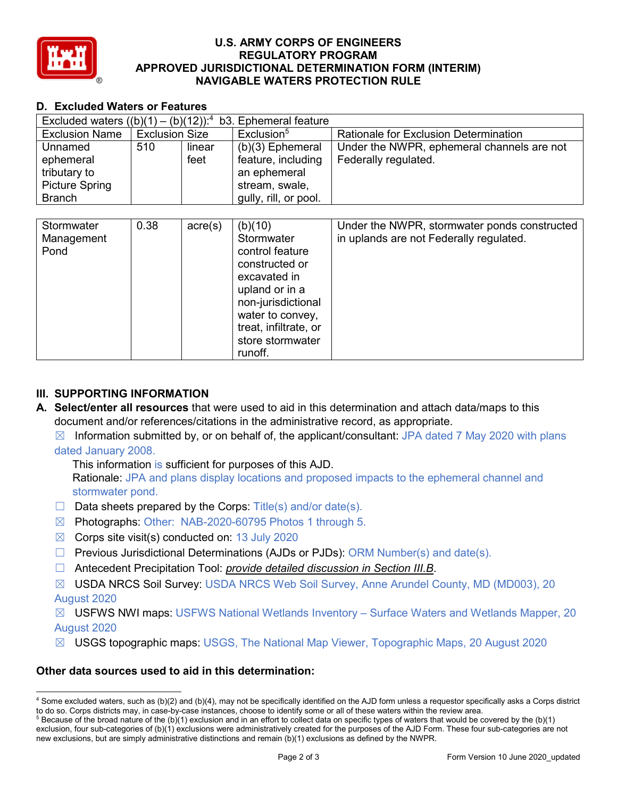

### **U.S. ARMY CORPS OF ENGINEERS REGULATORY PROGRAM APPROVED JURISDICTIONAL DETERMINATION FORM (INTERIM) NAVIGABLE WATERS PROTECTION RULE**

## **D. Excluded Waters or Features**

| Excluded waters $((b)(1) -$<br>b3. Ephemeral feature<br>$(b)(12))$ : <sup>4</sup> |                       |                  |                                                                                                                                                                                                |                                                                                         |
|-----------------------------------------------------------------------------------|-----------------------|------------------|------------------------------------------------------------------------------------------------------------------------------------------------------------------------------------------------|-----------------------------------------------------------------------------------------|
| <b>Exclusion Name</b>                                                             | <b>Exclusion Size</b> |                  | Exclusion <sup>5</sup>                                                                                                                                                                         | <b>Rationale for Exclusion Determination</b>                                            |
| Unnamed                                                                           | 510                   | linear           | (b)(3) Ephemeral                                                                                                                                                                               | Under the NWPR, ephemeral channels are not                                              |
| ephemeral                                                                         |                       | feet             | feature, including                                                                                                                                                                             | Federally regulated.                                                                    |
| tributary to                                                                      |                       |                  | an ephemeral                                                                                                                                                                                   |                                                                                         |
| <b>Picture Spring</b>                                                             |                       |                  | stream, swale,                                                                                                                                                                                 |                                                                                         |
| <b>Branch</b>                                                                     |                       |                  | gully, rill, or pool.                                                                                                                                                                          |                                                                                         |
|                                                                                   |                       |                  |                                                                                                                                                                                                |                                                                                         |
| Stormwater<br>Management<br>Pond                                                  | 0.38                  | $\text{acre}(s)$ | (b)(10)<br>Stormwater<br>control feature<br>constructed or<br>excavated in<br>upland or in a<br>non-jurisdictional<br>water to convey,<br>treat, infiltrate, or<br>store stormwater<br>runoff. | Under the NWPR, stormwater ponds constructed<br>in uplands are not Federally regulated. |

## **III. SUPPORTING INFORMATION**

**A. Select/enter all resources** that were used to aid in this determination and attach data/maps to this document and/or references/citations in the administrative record, as appropriate.

 $\boxtimes$  Information submitted by, or on behalf of, the applicant/consultant: JPA dated 7 May 2020 with plans dated January 2008.

This information is sufficient for purposes of this AJD. Rationale: JPA and plans display locations and proposed impacts to the ephemeral channel and stormwater pond.

- $\Box$  Data sheets prepared by the Corps: Title(s) and/or date(s).
- ☒ Photographs: Other: NAB-2020-60795 Photos 1 through 5.
- $\boxtimes$  Corps site visit(s) conducted on: 13 July 2020
- $\Box$  Previous Jurisdictional Determinations (AJDs or PJDs): ORM Number(s) and date(s).
- ☐ Antecedent Precipitation Tool: *provide detailed discussion in Section III.B*.
- ☒ USDA NRCS Soil Survey: USDA NRCS Web Soil Survey, Anne Arundel County, MD (MD003), 20 August 2020

☒ USFWS NWI maps: USFWS National Wetlands Inventory – Surface Waters and Wetlands Mapper, 20 August 2020

☒ USGS topographic maps: USGS, The National Map Viewer, Topographic Maps, 20 August 2020

## **Other data sources used to aid in this determination:**

 <sup>4</sup> Some excluded waters, such as (b)(2) and (b)(4), may not be specifically identified on the AJD form unless a requestor specifically asks a Corps district to do so. Corps districts may, in case-by-case instances, choose to identify some or all of these waters within the review area.

 $5$  Because of the broad nature of the (b)(1) exclusion and in an effort to collect data on specific types of waters that would be covered by the (b)(1) exclusion, four sub-categories of (b)(1) exclusions were administratively created for the purposes of the AJD Form. These four sub-categories are not new exclusions, but are simply administrative distinctions and remain (b)(1) exclusions as defined by the NWPR.